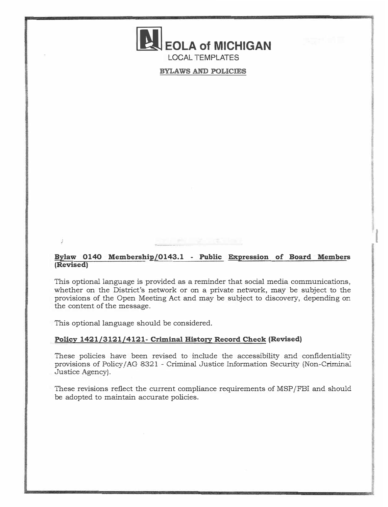# **EOLA of MICHIGAN** LOCAL TEMPLATES

**BYLAWS AND POLICIES** 

## **Bylaw 0140 Membership/0143.1 - Public Expression of Board Members (Revised)**

I

This optional language is provided as a reminder that social media communications, whether on the District's network or on a private network, may be subject to the provisions of the Open Meeting Act and may be subject to discovery, depending on the content of the message.

This optional language should be considered.

## **Policy 1421/3121/4121- Criminal History Record Check (Revised)**

These policies have been revised to include the accessibility and confidentiality' provisions of Policy/ AG 8321 - Criminal Justice Information Security (Non-Criminal Justice Agency).

These revisions reflect the current compliance requirements of MSP/FBI and should be adopted to maintain accurate policies.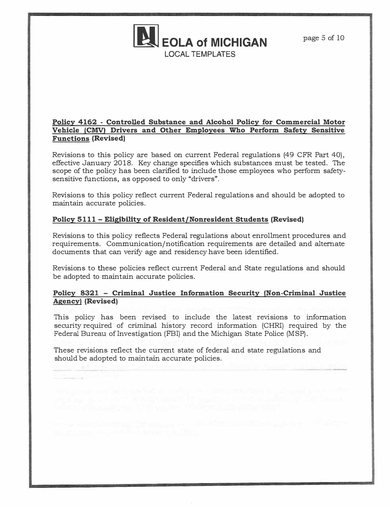

## **Policy 4162 - Controlled Substance and Alcohol Policy for Commercial Motor Vehicle (CMV) Drivers and Other Employees Who Perform Safety Sensitive Functions (Revised)**

Revisions to this policy are based on current Federal regulations (49 CFR Part 40), effective January 2018. Key change specifies which substances must be tested. The scope of the policy has been clarified to include those employees who perform safetysensitive functions, as opposed to only "drivers".

Revisions to this policy reflect current Federal regulations and should be adopted to maintain accurate policies.

## **Policy 5111 - Eligibility of Resident/Nonresident Students (Revised)**

Revisions to this policy reflects Federal regulations about enrollment procedures and requirements. Communication/notification requirements are detailed and alternate documents that can verify age and residency have been identified.

Revisions to these policies reflect current Federal and State regulations and should be adopted to maintain accurate policies.

## **Policy 8321 - Criminal Justice Information Security (Non-Criminal Justice Agency) (Revised)**

This policy has been revised to include the latest revisions to information security required of criminal history record information (CHRI) required by the Federal Bureau of Investigation (FBI) and the Michigan State Police (MSP).

These revisions reflect the current state of federal and state regulations and should be adopted to maintain accurate policies.

<u>The Common State State State State State State State State State State State State State State State State State State State State State State State State State State State State State State State State State State State </u>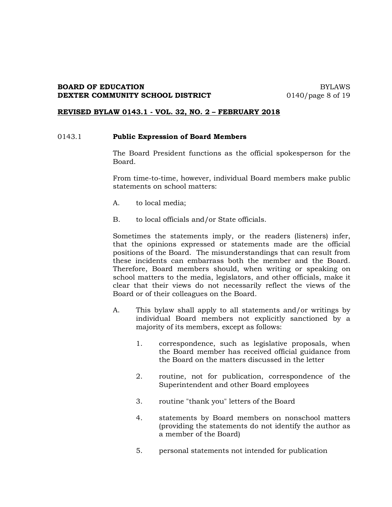## **BOARD OF EDUCATION** BYLAWS **DEXTER COMMUNITY SCHOOL DISTRICT** 0140/page 8 of 19

#### **REVISED BYLAW 0143.1 - VOL. 32, NO. 2 – FEBRUARY 2018**

## 0143.1 **Public Expression of Board Members**

The Board President functions as the official spokesperson for the Board.

From time-to-time, however, individual Board members make public statements on school matters:

- A. to local media;
- B. to local officials and/or State officials.

Sometimes the statements imply, or the readers (listeners) infer, that the opinions expressed or statements made are the official positions of the Board. The misunderstandings that can result from these incidents can embarrass both the member and the Board. Therefore, Board members should, when writing or speaking on school matters to the media, legislators, and other officials, make it clear that their views do not necessarily reflect the views of the Board or of their colleagues on the Board.

- A. This bylaw shall apply to all statements and/or writings by individual Board members not explicitly sanctioned by a majority of its members, except as follows:
	- 1. correspondence, such as legislative proposals, when the Board member has received official guidance from the Board on the matters discussed in the letter
	- 2. routine, not for publication, correspondence of the Superintendent and other Board employees
	- 3. routine "thank you" letters of the Board
	- 4. statements by Board members on nonschool matters (providing the statements do not identify the author as a member of the Board)
	- 5. personal statements not intended for publication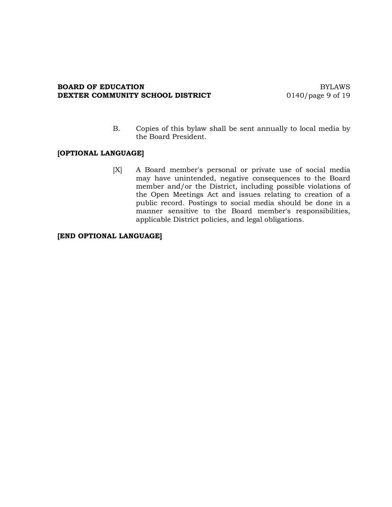#### **BOARD OF EDUCATION** BYLAWS<br> **DEXTER COMMUNITY SCHOOL DISTRICT** 0140/page 9 of 19 **DEXTER COMMUNITY SCHOOL DISTRICT**

B. Copies of this bylaw shall be sent annually to local media by the Board President.

## **[OPTIONAL LANGUAGE]**

[X] A Board member's personal or private use of social media may have unintended, negative consequences to the Board member and/or the District, including possible violations of the Open Meetings Act and issues relating to creation of a public record. Postings to social media should be done in a manner sensitive to the Board member's responsibilities, applicable District policies, and legal obligations.

## **[END OPTIONAL LANGUAGE]**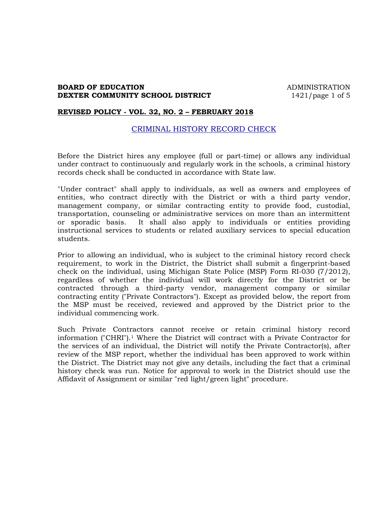## **BOARD OF EDUCATION ADMINISTRATION DEXTER COMMUNITY SCHOOL DISTRICT** 1421/page 1 of 5

#### **REVISED POLICY - VOL. 32, NO. 2 – FEBRUARY 2018**

## CRIMINAL HISTORY RECORD CHECK

Before the District hires any employee (full or part-time) or allows any individual under contract to continuously and regularly work in the schools, a criminal history records check shall be conducted in accordance with State law.

"Under contract" shall apply to individuals, as well as owners and employees of entities, who contract directly with the District or with a third party vendor, management company, or similar contracting entity to provide food, custodial, transportation, counseling or administrative services on more than an intermittent or sporadic basis. It shall also apply to individuals or entities providing instructional services to students or related auxiliary services to special education students.

Prior to allowing an individual, who is subject to the criminal history record check requirement, to work in the District, the District shall submit a fingerprint-based check on the individual, using Michigan State Police (MSP) Form RI-030 (7/2012), regardless of whether the individual will work directly for the District or be contracted through a third-party vendor, management company or similar contracting entity ("Private Contractors"). Except as provided below, the report from the MSP must be received, reviewed and approved by the District prior to the individual commencing work.

Such Private Contractors cannot receive or retain criminal history record information ("CHRI").1 Where the District will contract with a Private Contractor for the services of an individual, the District will notify the Private Contractor(s), after review of the MSP report, whether the individual has been approved to work within the District. The District may not give any details, including the fact that a criminal history check was run. Notice for approval to work in the District should use the Affidavit of Assignment or similar "red light/green light" procedure.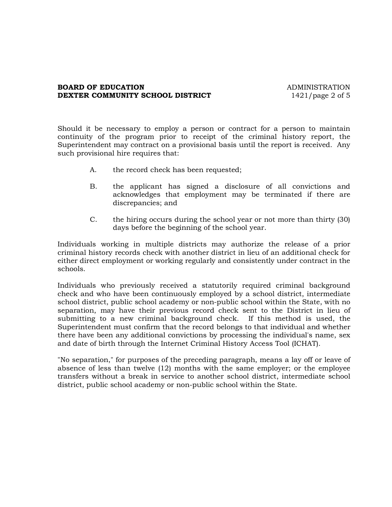## **BOARD OF EDUCATION ADMINISTRATION DEXTER COMMUNITY SCHOOL DISTRICT** 1421/page 2 of 5

Should it be necessary to employ a person or contract for a person to maintain continuity of the program prior to receipt of the criminal history report, the Superintendent may contract on a provisional basis until the report is received. Any such provisional hire requires that:

- A. the record check has been requested;
- B. the applicant has signed a disclosure of all convictions and acknowledges that employment may be terminated if there are discrepancies; and
- C. the hiring occurs during the school year or not more than thirty (30) days before the beginning of the school year.

Individuals working in multiple districts may authorize the release of a prior criminal history records check with another district in lieu of an additional check for either direct employment or working regularly and consistently under contract in the schools.

Individuals who previously received a statutorily required criminal background check and who have been continuously employed by a school district, intermediate school district, public school academy or non-public school within the State, with no separation, may have their previous record check sent to the District in lieu of submitting to a new criminal background check. If this method is used, the Superintendent must confirm that the record belongs to that individual and whether there have been any additional convictions by processing the individual's name, sex and date of birth through the Internet Criminal History Access Tool (ICHAT).

"No separation," for purposes of the preceding paragraph, means a lay off or leave of absence of less than twelve (12) months with the same employer; or the employee transfers without a break in service to another school district, intermediate school district, public school academy or non-public school within the State.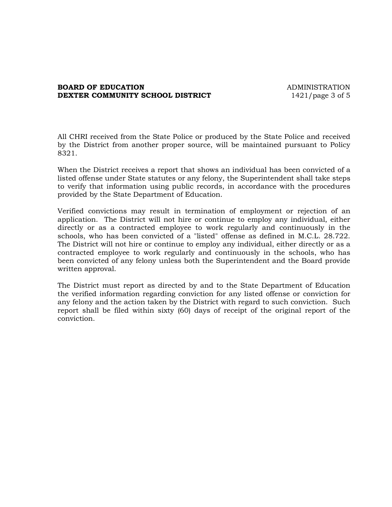## **BOARD OF EDUCATION** ADMINISTRATION **DEXTER COMMUNITY SCHOOL DISTRICT** 1421/page 3 of 5

All CHRI received from the State Police or produced by the State Police and received by the District from another proper source, will be maintained pursuant to Policy 8321.

When the District receives a report that shows an individual has been convicted of a listed offense under State statutes or any felony, the Superintendent shall take steps to verify that information using public records, in accordance with the procedures provided by the State Department of Education.

Verified convictions may result in termination of employment or rejection of an application. The District will not hire or continue to employ any individual, either directly or as a contracted employee to work regularly and continuously in the schools, who has been convicted of a "listed" offense as defined in M.C.L. 28.722. The District will not hire or continue to employ any individual, either directly or as a contracted employee to work regularly and continuously in the schools, who has been convicted of any felony unless both the Superintendent and the Board provide written approval.

The District must report as directed by and to the State Department of Education the verified information regarding conviction for any listed offense or conviction for any felony and the action taken by the District with regard to such conviction. Such report shall be filed within sixty (60) days of receipt of the original report of the conviction.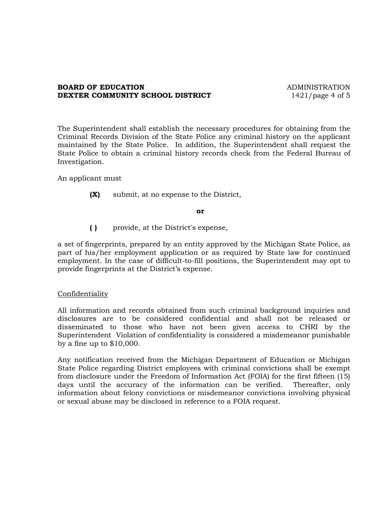## **BOARD OF EDUCATION** ADMINISTRATION **DEXTER COMMUNITY SCHOOL DISTRICT** 1421/page 4 of 5

The Superintendent shall establish the necessary procedures for obtaining from the Criminal Records Division of the State Police any criminal history on the applicant maintained by the State Police. In addition, the Superintendent shall request the State Police to obtain a criminal history records check from the Federal Bureau of Investigation.

An applicant must

**(X)** submit, at no expense to the District,

#### **or**

**( )** provide, at the District's expense,

a set of fingerprints, prepared by an entity approved by the Michigan State Police, as part of his/her employment application or as required by State law for continued employment. In the case of difficult-to-fill positions, the Superintendent may opt to provide fingerprints at the District's expense.

## Confidentiality

All information and records obtained from such criminal background inquiries and disclosures are to be considered confidential and shall not be released or disseminated to those who have not been given access to CHRI by the Superintendent Violation of confidentiality is considered a misdemeanor punishable by a fine up to \$10,000.

Any notification received from the Michigan Department of Education or Michigan State Police regarding District employees with criminal convictions shall be exempt from disclosure under the Freedom of Information Act (FOIA) for the first fifteen (15) days until the accuracy of the information can be verified. Thereafter, only information about felony convictions or misdemeanor convictions involving physical or sexual abuse may be disclosed in reference to a FOIA request.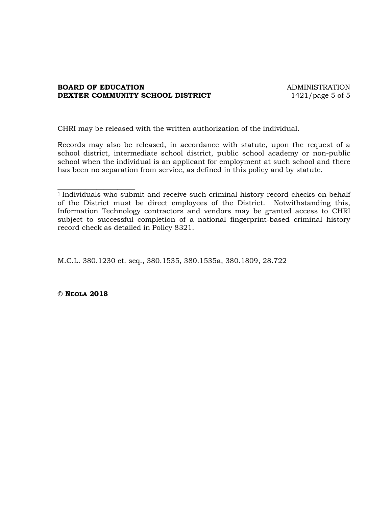## **BOARD OF EDUCATION ADMINISTRATION DEXTER COMMUNITY SCHOOL DISTRICT** 1421/page 5 of 5

CHRI may be released with the written authorization of the individual.

Records may also be released, in accordance with statute, upon the request of a school district, intermediate school district, public school academy or non-public school when the individual is an applicant for employment at such school and there has been no separation from service, as defined in this policy and by statute.

M.C.L. 380.1230 et. seq., 380.1535, 380.1535a, 380.1809, 28.722

**© NEOLA 2018**

\_\_\_\_\_\_\_\_\_\_\_\_\_\_\_\_\_\_\_\_\_\_

<sup>&</sup>lt;sup>1</sup> Individuals who submit and receive such criminal history record checks on behalf of the District must be direct employees of the District. Notwithstanding this, Information Technology contractors and vendors may be granted access to CHRI subject to successful completion of a national fingerprint-based criminal history record check as detailed in Policy 8321.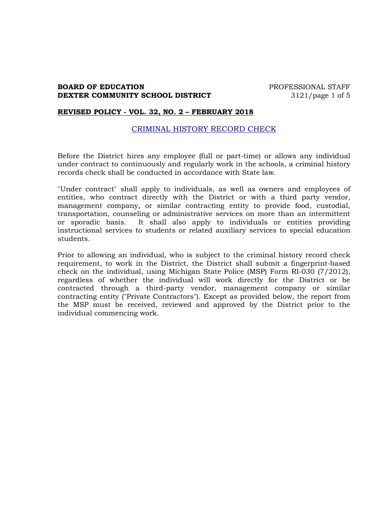## **BOARD OF EDUCATION PROFESSIONAL STAFF DEXTER COMMUNITY SCHOOL DISTRICT** 3121/page 1 of 5

#### **REVISED POLICY - VOL. 32, NO. 2 – FEBRUARY 2018**

## CRIMINAL HISTORY RECORD CHECK

Before the District hires any employee (full or part-time) or allows any individual under contract to continuously and regularly work in the schools, a criminal history records check shall be conducted in accordance with State law.

"Under contract" shall apply to individuals, as well as owners and employees of entities, who contract directly with the District or with a third party vendor, management company, or similar contracting entity to provide food, custodial, transportation, counseling or administrative services on more than an intermittent or sporadic basis. It shall also apply to individuals or entities providing instructional services to students or related auxiliary services to special education students.

Prior to allowing an individual, who is subject to the criminal history record check requirement, to work in the District, the District shall submit a fingerprint-based check on the individual, using Michigan State Police (MSP) Form RI-030 (7/2012), regardless of whether the individual will work directly for the District or be contracted through a third-party vendor, management company or similar contracting entity ("Private Contractors"). Except as provided below, the report from the MSP must be received, reviewed and approved by the District prior to the individual commencing work.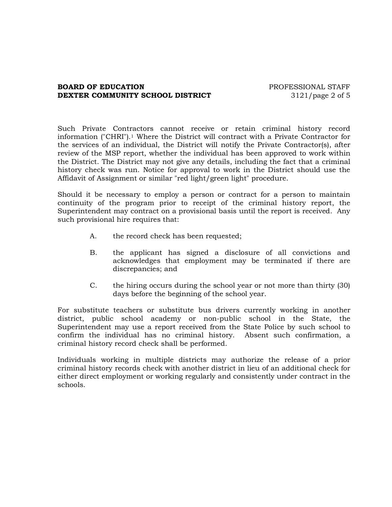## **BOARD OF EDUCATION EXECUTE:** PROFESSIONAL STAFF **DEXTER COMMUNITY SCHOOL DISTRICT** 3121/page 2 of 5

Such Private Contractors cannot receive or retain criminal history record information ("CHRI").<sup>1</sup> Where the District will contract with a Private Contractor for the services of an individual, the District will notify the Private Contractor(s), after review of the MSP report, whether the individual has been approved to work within the District. The District may not give any details, including the fact that a criminal history check was run. Notice for approval to work in the District should use the Affidavit of Assignment or similar "red light/green light" procedure.

Should it be necessary to employ a person or contract for a person to maintain continuity of the program prior to receipt of the criminal history report, the Superintendent may contract on a provisional basis until the report is received. Any such provisional hire requires that:

- A. the record check has been requested;
- B. the applicant has signed a disclosure of all convictions and acknowledges that employment may be terminated if there are discrepancies; and
- C. the hiring occurs during the school year or not more than thirty (30) days before the beginning of the school year.

For substitute teachers or substitute bus drivers currently working in another district, public school academy or non-public school in the State, the Superintendent may use a report received from the State Police by such school to confirm the individual has no criminal history. Absent such confirmation, a criminal history record check shall be performed.

Individuals working in multiple districts may authorize the release of a prior criminal history records check with another district in lieu of an additional check for either direct employment or working regularly and consistently under contract in the schools.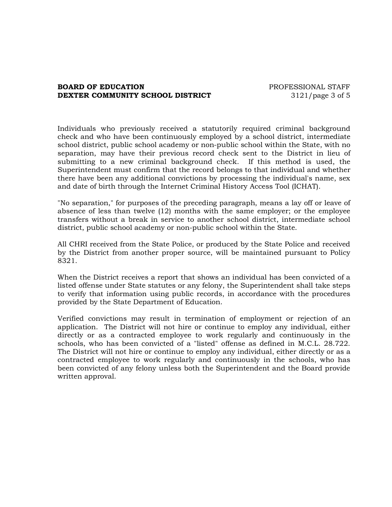## **BOARD OF EDUCATION EXECUTE:** PROFESSIONAL STAFF **DEXTER COMMUNITY SCHOOL DISTRICT** 3121/page 3 of 5

Individuals who previously received a statutorily required criminal background check and who have been continuously employed by a school district, intermediate school district, public school academy or non-public school within the State, with no separation, may have their previous record check sent to the District in lieu of submitting to a new criminal background check. If this method is used, the Superintendent must confirm that the record belongs to that individual and whether there have been any additional convictions by processing the individual's name, sex and date of birth through the Internet Criminal History Access Tool (ICHAT).

"No separation," for purposes of the preceding paragraph, means a lay off or leave of absence of less than twelve (12) months with the same employer; or the employee transfers without a break in service to another school district, intermediate school district, public school academy or non-public school within the State.

All CHRI received from the State Police, or produced by the State Police and received by the District from another proper source, will be maintained pursuant to Policy 8321.

When the District receives a report that shows an individual has been convicted of a listed offense under State statutes or any felony, the Superintendent shall take steps to verify that information using public records, in accordance with the procedures provided by the State Department of Education.

Verified convictions may result in termination of employment or rejection of an application. The District will not hire or continue to employ any individual, either directly or as a contracted employee to work regularly and continuously in the schools, who has been convicted of a "listed" offense as defined in M.C.L. 28.722. The District will not hire or continue to employ any individual, either directly or as a contracted employee to work regularly and continuously in the schools, who has been convicted of any felony unless both the Superintendent and the Board provide written approval.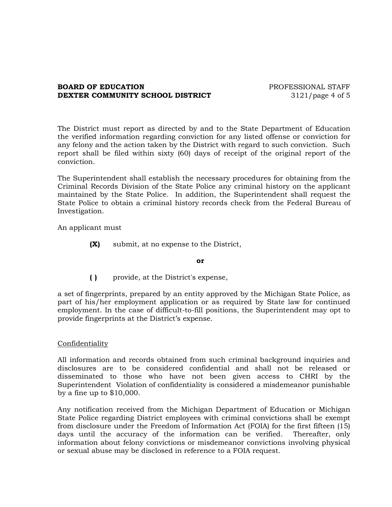## **BOARD OF EDUCATION EXECUTE:** PROFESSIONAL STAFF **DEXTER COMMUNITY SCHOOL DISTRICT** 3121/page 4 of 5

The District must report as directed by and to the State Department of Education the verified information regarding conviction for any listed offense or conviction for any felony and the action taken by the District with regard to such conviction. Such report shall be filed within sixty (60) days of receipt of the original report of the conviction.

The Superintendent shall establish the necessary procedures for obtaining from the Criminal Records Division of the State Police any criminal history on the applicant maintained by the State Police. In addition, the Superintendent shall request the State Police to obtain a criminal history records check from the Federal Bureau of Investigation.

An applicant must

**(X)** submit, at no expense to the District,

#### **or**

**( )** provide, at the District's expense,

a set of fingerprints, prepared by an entity approved by the Michigan State Police, as part of his/her employment application or as required by State law for continued employment. In the case of difficult-to-fill positions, the Superintendent may opt to provide fingerprints at the District's expense.

## Confidentiality

All information and records obtained from such criminal background inquiries and disclosures are to be considered confidential and shall not be released or disseminated to those who have not been given access to CHRI by the Superintendent Violation of confidentiality is considered a misdemeanor punishable by a fine up to \$10,000.

Any notification received from the Michigan Department of Education or Michigan State Police regarding District employees with criminal convictions shall be exempt from disclosure under the Freedom of Information Act (FOIA) for the first fifteen (15) days until the accuracy of the information can be verified. Thereafter, only information about felony convictions or misdemeanor convictions involving physical or sexual abuse may be disclosed in reference to a FOIA request.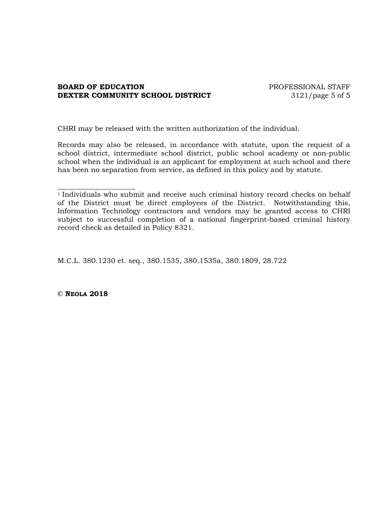## **BOARD OF EDUCATION PROFESSIONAL STAFF DEXTER COMMUNITY SCHOOL DISTRICT** 3121/page 5 of 5

CHRI may be released with the written authorization of the individual.

Records may also be released, in accordance with statute, upon the request of a school district, intermediate school district, public school academy or non-public school when the individual is an applicant for employment at such school and there has been no separation from service, as defined in this policy and by statute.

M.C.L. 380.1230 et. seq., 380.1535, 380.1535a, 380.1809, 28.722

**© NEOLA 2018**

\_\_\_\_\_\_\_\_\_\_\_\_\_\_\_\_\_\_\_\_\_\_

<sup>&</sup>lt;sup>1</sup> Individuals who submit and receive such criminal history record checks on behalf of the District must be direct employees of the District. Notwithstanding this, Information Technology contractors and vendors may be granted access to CHRI subject to successful completion of a national fingerprint-based criminal history record check as detailed in Policy 8321.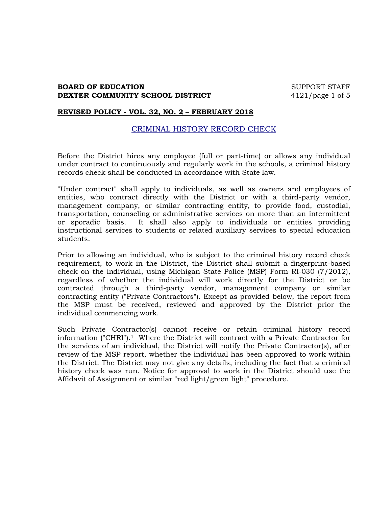## **BOARD OF EDUCATION** SUPPORT STAFF **DEXTER COMMUNITY SCHOOL DISTRICT** 4121/page 1 of 5

#### **REVISED POLICY - VOL. 32, NO. 2 – FEBRUARY 2018**

## CRIMINAL HISTORY RECORD CHECK

Before the District hires any employee (full or part-time) or allows any individual under contract to continuously and regularly work in the schools, a criminal history records check shall be conducted in accordance with State law.

"Under contract" shall apply to individuals, as well as owners and employees of entities, who contract directly with the District or with a third-party vendor, management company, or similar contracting entity, to provide food, custodial, transportation, counseling or administrative services on more than an intermittent or sporadic basis. It shall also apply to individuals or entities providing instructional services to students or related auxiliary services to special education students.

Prior to allowing an individual, who is subject to the criminal history record check requirement, to work in the District, the District shall submit a fingerprint-based check on the individual, using Michigan State Police (MSP) Form RI-030 (7/2012), regardless of whether the individual will work directly for the District or be contracted through a third-party vendor, management company or similar contracting entity ("Private Contractors"). Except as provided below, the report from the MSP must be received, reviewed and approved by the District prior the individual commencing work.

Such Private Contractor(s) cannot receive or retain criminal history record information ("CHRI").1 Where the District will contract with a Private Contractor for the services of an individual, the District will notify the Private Contractor(s), after review of the MSP report, whether the individual has been approved to work within the District. The District may not give any details, including the fact that a criminal history check was run. Notice for approval to work in the District should use the Affidavit of Assignment or similar "red light/green light" procedure.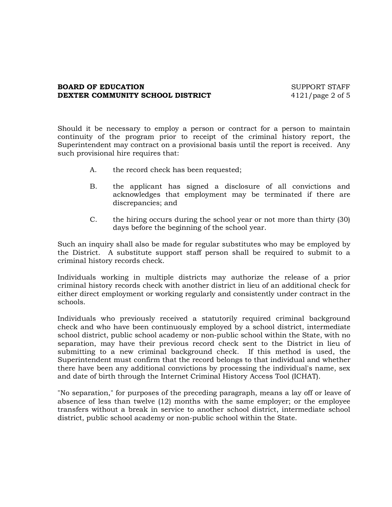## **BOARD OF EDUCATION** SUPPORT STAFF **DEXTER COMMUNITY SCHOOL DISTRICT** 4121/page 2 of 5

Should it be necessary to employ a person or contract for a person to maintain continuity of the program prior to receipt of the criminal history report, the Superintendent may contract on a provisional basis until the report is received. Any such provisional hire requires that:

- A. the record check has been requested;
- B. the applicant has signed a disclosure of all convictions and acknowledges that employment may be terminated if there are discrepancies; and
- C. the hiring occurs during the school year or not more than thirty (30) days before the beginning of the school year.

Such an inquiry shall also be made for regular substitutes who may be employed by the District. A substitute support staff person shall be required to submit to a criminal history records check.

Individuals working in multiple districts may authorize the release of a prior criminal history records check with another district in lieu of an additional check for either direct employment or working regularly and consistently under contract in the schools.

Individuals who previously received a statutorily required criminal background check and who have been continuously employed by a school district, intermediate school district, public school academy or non-public school within the State, with no separation, may have their previous record check sent to the District in lieu of submitting to a new criminal background check. If this method is used, the Superintendent must confirm that the record belongs to that individual and whether there have been any additional convictions by processing the individual's name, sex and date of birth through the Internet Criminal History Access Tool (ICHAT).

"No separation," for purposes of the preceding paragraph, means a lay off or leave of absence of less than twelve (12) months with the same employer; or the employee transfers without a break in service to another school district, intermediate school district, public school academy or non-public school within the State.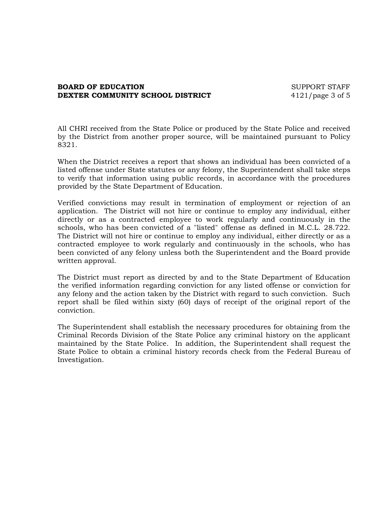## **BOARD OF EDUCATION** SUPPORT STAFF **DEXTER COMMUNITY SCHOOL DISTRICT** 4121/page 3 of 5

All CHRI received from the State Police or produced by the State Police and received by the District from another proper source, will be maintained pursuant to Policy 8321.

When the District receives a report that shows an individual has been convicted of a listed offense under State statutes or any felony, the Superintendent shall take steps to verify that information using public records, in accordance with the procedures provided by the State Department of Education.

Verified convictions may result in termination of employment or rejection of an application. The District will not hire or continue to employ any individual, either directly or as a contracted employee to work regularly and continuously in the schools, who has been convicted of a "listed" offense as defined in M.C.L. 28.722. The District will not hire or continue to employ any individual, either directly or as a contracted employee to work regularly and continuously in the schools, who has been convicted of any felony unless both the Superintendent and the Board provide written approval.

The District must report as directed by and to the State Department of Education the verified information regarding conviction for any listed offense or conviction for any felony and the action taken by the District with regard to such conviction. Such report shall be filed within sixty (60) days of receipt of the original report of the conviction.

The Superintendent shall establish the necessary procedures for obtaining from the Criminal Records Division of the State Police any criminal history on the applicant maintained by the State Police. In addition, the Superintendent shall request the State Police to obtain a criminal history records check from the Federal Bureau of Investigation.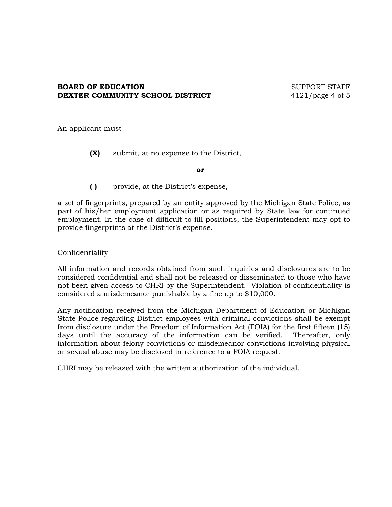## **BOARD OF EDUCATION** SUPPORT STAFF **DEXTER COMMUNITY SCHOOL DISTRICT** 4121/page 4 of 5

An applicant must

**(X)** submit, at no expense to the District,

**or**

**( )** provide, at the District's expense,

a set of fingerprints, prepared by an entity approved by the Michigan State Police, as part of his/her employment application or as required by State law for continued employment. In the case of difficult-to-fill positions, the Superintendent may opt to provide fingerprints at the District's expense.

## Confidentiality

All information and records obtained from such inquiries and disclosures are to be considered confidential and shall not be released or disseminated to those who have not been given access to CHRI by the Superintendent. Violation of confidentiality is considered a misdemeanor punishable by a fine up to \$10,000.

Any notification received from the Michigan Department of Education or Michigan State Police regarding District employees with criminal convictions shall be exempt from disclosure under the Freedom of Information Act (FOIA) for the first fifteen (15) days until the accuracy of the information can be verified. Thereafter, only information about felony convictions or misdemeanor convictions involving physical or sexual abuse may be disclosed in reference to a FOIA request.

CHRI may be released with the written authorization of the individual.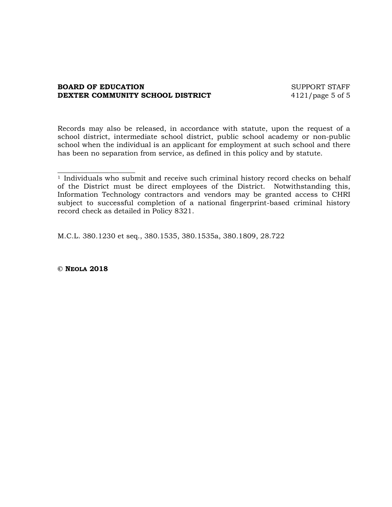## **BOARD OF EDUCATION** SUPPORT STAFF **DEXTER COMMUNITY SCHOOL DISTRICT** 4121/page 5 of 5

Records may also be released, in accordance with statute, upon the request of a school district, intermediate school district, public school academy or non-public school when the individual is an applicant for employment at such school and there has been no separation from service, as defined in this policy and by statute.

M.C.L. 380.1230 et seq., 380.1535, 380.1535a, 380.1809, 28.722

**© NEOLA 2018**

\_\_\_\_\_\_\_\_\_\_\_\_\_\_\_\_\_\_\_\_\_\_

<sup>&</sup>lt;sup>1</sup> Individuals who submit and receive such criminal history record checks on behalf of the District must be direct employees of the District. Notwithstanding this, Information Technology contractors and vendors may be granted access to CHRI subject to successful completion of a national fingerprint-based criminal history record check as detailed in Policy 8321.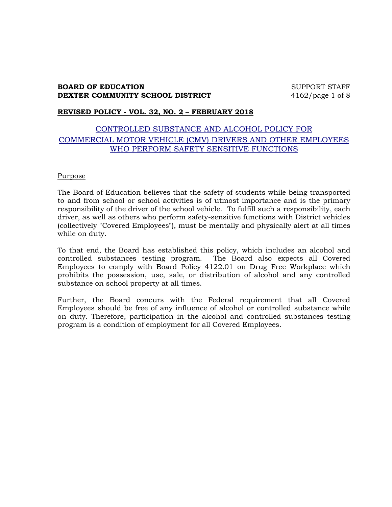## **BOARD OF EDUCATION** SUPPORT STAFF **DEXTER COMMUNITY SCHOOL DISTRICT** 4162/page 1 of 8

## **REVISED POLICY - VOL. 32, NO. 2 – FEBRUARY 2018**

# CONTROLLED SUBSTANCE AND ALCOHOL POLICY FOR COMMERCIAL MOTOR VEHICLE (CMV) DRIVERS AND OTHER EMPLOYEES WHO PERFORM SAFETY SENSITIVE FUNCTIONS

#### Purpose

The Board of Education believes that the safety of students while being transported to and from school or school activities is of utmost importance and is the primary responsibility of the driver of the school vehicle. To fulfill such a responsibility, each driver, as well as others who perform safety-sensitive functions with District vehicles (collectively "Covered Employees"), must be mentally and physically alert at all times while on duty.

To that end, the Board has established this policy, which includes an alcohol and controlled substances testing program. The Board also expects all Covered Employees to comply with Board Policy 4122.01 on Drug Free Workplace which prohibits the possession, use, sale, or distribution of alcohol and any controlled substance on school property at all times.

Further, the Board concurs with the Federal requirement that all Covered Employees should be free of any influence of alcohol or controlled substance while on duty. Therefore, participation in the alcohol and controlled substances testing program is a condition of employment for all Covered Employees.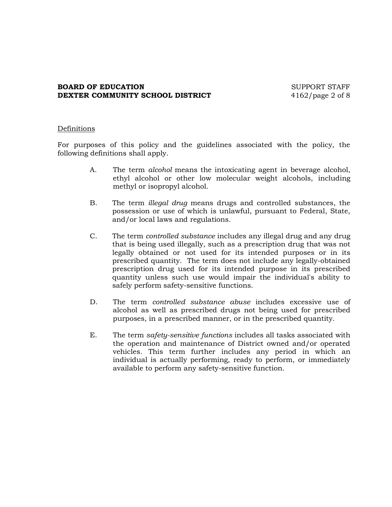## **BOARD OF EDUCATION** SUPPORT STAFF **DEXTER COMMUNITY SCHOOL DISTRICT** 4162/page 2 of 8

## Definitions

For purposes of this policy and the guidelines associated with the policy, the following definitions shall apply.

- A. The term *alcohol* means the intoxicating agent in beverage alcohol, ethyl alcohol or other low molecular weight alcohols, including methyl or isopropyl alcohol.
- B. The term *illegal drug* means drugs and controlled substances, the possession or use of which is unlawful, pursuant to Federal, State, and/or local laws and regulations.
- C. The term *controlled substance* includes any illegal drug and any drug that is being used illegally, such as a prescription drug that was not legally obtained or not used for its intended purposes or in its prescribed quantity. The term does not include any legally-obtained prescription drug used for its intended purpose in its prescribed quantity unless such use would impair the individual's ability to safely perform safety-sensitive functions.
- D. The term *controlled substance abuse* includes excessive use of alcohol as well as prescribed drugs not being used for prescribed purposes, in a prescribed manner, or in the prescribed quantity.
- E. The term *safety-sensitive functions* includes all tasks associated with the operation and maintenance of District owned and/or operated vehicles. This term further includes any period in which an individual is actually performing, ready to perform, or immediately available to perform any safety-sensitive function.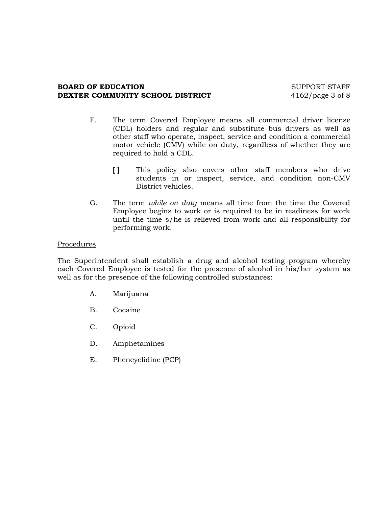## **BOARD OF EDUCATION** SUPPORT STAFF **DEXTER COMMUNITY SCHOOL DISTRICT** 4162/page 3 of 8

- F. The term Covered Employee means all commercial driver license (CDL) holders and regular and substitute bus drivers as well as other staff who operate, inspect, service and condition a commercial motor vehicle (CMV) while on duty, regardless of whether they are required to hold a CDL.
	- **[ ]** This policy also covers other staff members who drive students in or inspect, service, and condition non-CMV District vehicles.
- G. The term *while on duty* means all time from the time the Covered Employee begins to work or is required to be in readiness for work until the time s/he is relieved from work and all responsibility for performing work.

## Procedures

The Superintendent shall establish a drug and alcohol testing program whereby each Covered Employee is tested for the presence of alcohol in his/her system as well as for the presence of the following controlled substances:

- A. Marijuana
- B. Cocaine
- C. Opioid
- D. Amphetamines
- E. Phencyclidine (PCP)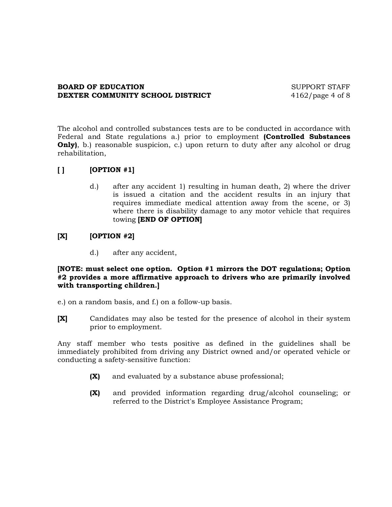## **BOARD OF EDUCATION** SUPPORT STAFF **DEXTER COMMUNITY SCHOOL DISTRICT** 4162/page 4 of 8

The alcohol and controlled substances tests are to be conducted in accordance with Federal and State regulations a.) prior to employment **(Controlled Substances Only)**, b.) reasonable suspicion, c.) upon return to duty after any alcohol or drug rehabilitation,

# **[ ] [OPTION #1]**

d.) after any accident 1) resulting in human death, 2) where the driver is issued a citation and the accident results in an injury that requires immediate medical attention away from the scene, or 3) where there is disability damage to any motor vehicle that requires towing **[END OF OPTION]**

# **[X] [OPTION #2]**

d.) after any accident,

## **[NOTE: must select one option. Option #1 mirrors the DOT regulations; Option #2 provides a more affirmative approach to drivers who are primarily involved with transporting children.]**

e.) on a random basis, and f.) on a follow-up basis.

**[X]** Candidates may also be tested for the presence of alcohol in their system prior to employment.

Any staff member who tests positive as defined in the guidelines shall be immediately prohibited from driving any District owned and/or operated vehicle or conducting a safety-sensitive function:

- **(X)** and evaluated by a substance abuse professional;
- **(X)** and provided information regarding drug/alcohol counseling; or referred to the District's Employee Assistance Program;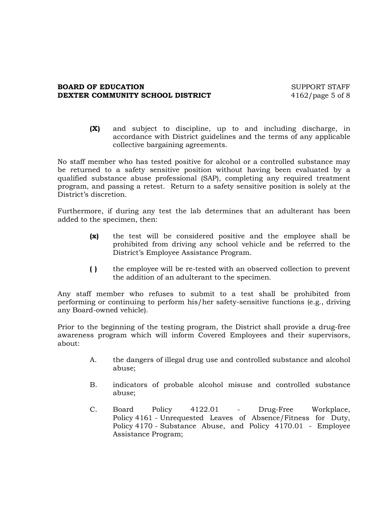## **BOARD OF EDUCATION** SUPPORT STAFF **DEXTER COMMUNITY SCHOOL DISTRICT** 4162/page 5 of 8

**(X)** and subject to discipline, up to and including discharge, in accordance with District guidelines and the terms of any applicable collective bargaining agreements.

No staff member who has tested positive for alcohol or a controlled substance may be returned to a safety sensitive position without having been evaluated by a qualified substance abuse professional (SAP), completing any required treatment program, and passing a retest. Return to a safety sensitive position is solely at the District's discretion.

Furthermore, if during any test the lab determines that an adulterant has been added to the specimen, then:

- **(x)** the test will be considered positive and the employee shall be prohibited from driving any school vehicle and be referred to the District's Employee Assistance Program.
- **( )** the employee will be re-tested with an observed collection to prevent the addition of an adulterant to the specimen.

Any staff member who refuses to submit to a test shall be prohibited from performing or continuing to perform his/her safety-sensitive functions (e.g., driving any Board-owned vehicle).

Prior to the beginning of the testing program, the District shall provide a drug-free awareness program which will inform Covered Employees and their supervisors, about:

- A. the dangers of illegal drug use and controlled substance and alcohol abuse;
- B. indicators of probable alcohol misuse and controlled substance abuse;
- C. Board Policy 4122.01 Drug-Free Workplace, Policy 4161 - Unrequested Leaves of Absence/Fitness for Duty, Policy 4170 - Substance Abuse, and Policy 4170.01 - Employee Assistance Program;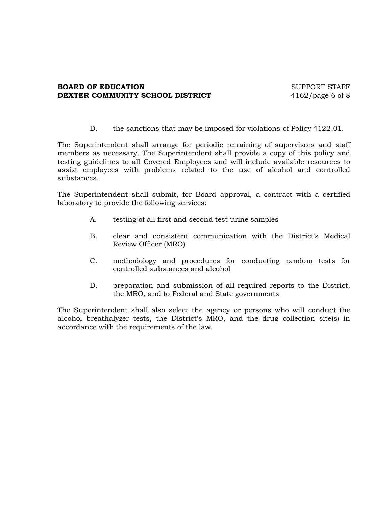## **BOARD OF EDUCATION** SUPPORT STAFF **DEXTER COMMUNITY SCHOOL DISTRICT** 4162/page 6 of 8

D. the sanctions that may be imposed for violations of Policy 4122.01.

The Superintendent shall arrange for periodic retraining of supervisors and staff members as necessary. The Superintendent shall provide a copy of this policy and testing guidelines to all Covered Employees and will include available resources to assist employees with problems related to the use of alcohol and controlled substances.

The Superintendent shall submit, for Board approval, a contract with a certified laboratory to provide the following services:

- A. testing of all first and second test urine samples
- B. clear and consistent communication with the District's Medical Review Officer (MRO)
- C. methodology and procedures for conducting random tests for controlled substances and alcohol
- D. preparation and submission of all required reports to the District, the MRO, and to Federal and State governments

The Superintendent shall also select the agency or persons who will conduct the alcohol breathalyzer tests, the District's MRO, and the drug collection site(s) in accordance with the requirements of the law.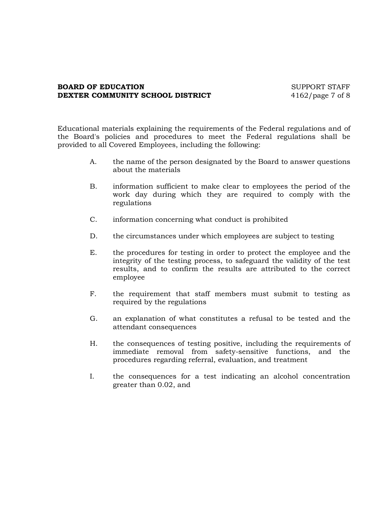## **BOARD OF EDUCATION** SUPPORT STAFF **DEXTER COMMUNITY SCHOOL DISTRICT** 4162/page 7 of 8

Educational materials explaining the requirements of the Federal regulations and of the Board's policies and procedures to meet the Federal regulations shall be provided to all Covered Employees, including the following:

- A. the name of the person designated by the Board to answer questions about the materials
- B. information sufficient to make clear to employees the period of the work day during which they are required to comply with the regulations
- C. information concerning what conduct is prohibited
- D. the circumstances under which employees are subject to testing
- E. the procedures for testing in order to protect the employee and the integrity of the testing process, to safeguard the validity of the test results, and to confirm the results are attributed to the correct employee
- F. the requirement that staff members must submit to testing as required by the regulations
- G. an explanation of what constitutes a refusal to be tested and the attendant consequences
- H. the consequences of testing positive, including the requirements of immediate removal from safety-sensitive functions, and the procedures regarding referral, evaluation, and treatment
- I. the consequences for a test indicating an alcohol concentration greater than 0.02, and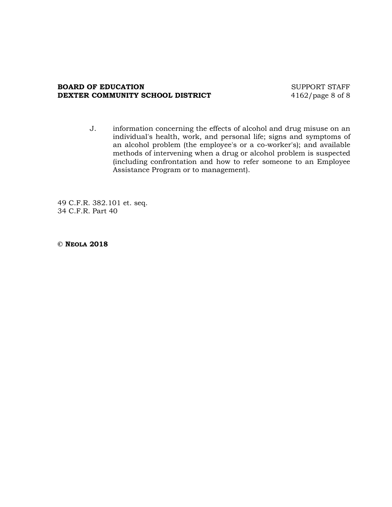#### **BOARD OF EDUCATION** SUPPORT STAFF **DEXTER COMMUNITY SCHOOL DISTRICT** 4162/page 8 of 8

J. information concerning the effects of alcohol and drug misuse on an individual's health, work, and personal life; signs and symptoms of an alcohol problem (the employee's or a co-worker's); and available methods of intervening when a drug or alcohol problem is suspected (including confrontation and how to refer someone to an Employee Assistance Program or to management).

49 C.F.R. 382.101 et. seq. 34 C.F.R. Part 40

**© NEOLA 2018**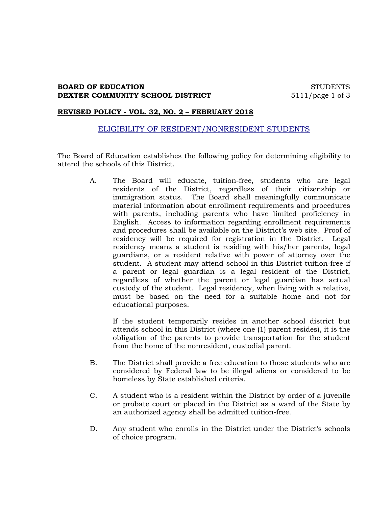## **BOARD OF EDUCATION** STUDENTS **DEXTER COMMUNITY SCHOOL DISTRICT** 5111/page 1 of 3

#### **REVISED POLICY - VOL. 32, NO. 2 – FEBRUARY 2018**

## ELIGIBILITY OF RESIDENT/NONRESIDENT STUDENTS

The Board of Education establishes the following policy for determining eligibility to attend the schools of this District.

> A. The Board will educate, tuition-free, students who are legal residents of the District, regardless of their citizenship or immigration status. The Board shall meaningfully communicate material information about enrollment requirements and procedures with parents, including parents who have limited proficiency in English. Access to information regarding enrollment requirements and procedures shall be available on the District's web site. Proof of residency will be required for registration in the District. Legal residency means a student is residing with his/her parents, legal guardians, or a resident relative with power of attorney over the student. A student may attend school in this District tuition-free if a parent or legal guardian is a legal resident of the District, regardless of whether the parent or legal guardian has actual custody of the student. Legal residency, when living with a relative, must be based on the need for a suitable home and not for educational purposes.

If the student temporarily resides in another school district but attends school in this District (where one (1) parent resides), it is the obligation of the parents to provide transportation for the student from the home of the nonresident, custodial parent.

- B. The District shall provide a free education to those students who are considered by Federal law to be illegal aliens or considered to be homeless by State established criteria.
- C. A student who is a resident within the District by order of a juvenile or probate court or placed in the District as a ward of the State by an authorized agency shall be admitted tuition-free.
- D. Any student who enrolls in the District under the District's schools of choice program.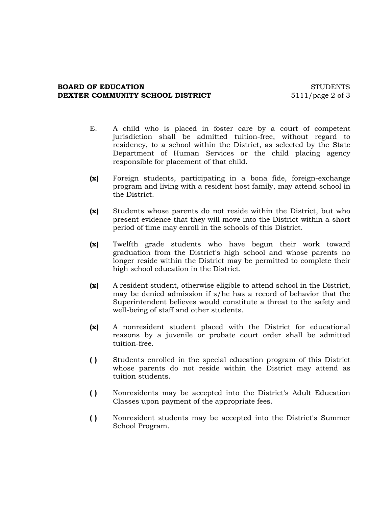#### **BOARD OF EDUCATION** STUDENTS **DEXTER COMMUNITY SCHOOL DISTRICT** 5111/page 2 of 3

- E. A child who is placed in foster care by a court of competent jurisdiction shall be admitted tuition-free, without regard to residency, to a school within the District, as selected by the State Department of Human Services or the child placing agency responsible for placement of that child.
- **(x)** Foreign students, participating in a bona fide, foreign-exchange program and living with a resident host family, may attend school in the District.
- **(x)** Students whose parents do not reside within the District, but who present evidence that they will move into the District within a short period of time may enroll in the schools of this District.
- **(x)** Twelfth grade students who have begun their work toward graduation from the District's high school and whose parents no longer reside within the District may be permitted to complete their high school education in the District.
- **(x)** A resident student, otherwise eligible to attend school in the District, may be denied admission if s/he has a record of behavior that the Superintendent believes would constitute a threat to the safety and well-being of staff and other students.
- **(x)** A nonresident student placed with the District for educational reasons by a juvenile or probate court order shall be admitted tuition-free.
- **( )** Students enrolled in the special education program of this District whose parents do not reside within the District may attend as tuition students.
- **( )** Nonresidents may be accepted into the District's Adult Education Classes upon payment of the appropriate fees.
- **( )** Nonresident students may be accepted into the District's Summer School Program.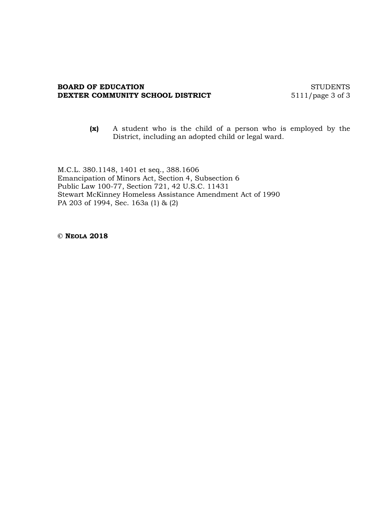#### **BOARD OF EDUCATION** STUDENTS **DEXTER COMMUNITY SCHOOL DISTRICT** 5111/page 3 of 3

**(x)** A student who is the child of a person who is employed by the District, including an adopted child or legal ward.

M.C.L. 380.1148, 1401 et seq., 388.1606 Emancipation of Minors Act, Section 4, Subsection 6 Public Law 100-77, Section 721, 42 U.S.C. 11431 Stewart McKinney Homeless Assistance Amendment Act of 1990 PA 203 of 1994, Sec. 163a (1) & (2)

**© NEOLA 2018**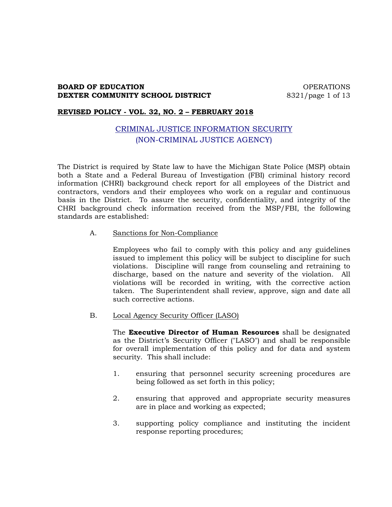## **BOARD OF EDUCATION CONSUMING A REAL PROPERATIONS DEXTER COMMUNITY SCHOOL DISTRICT** 8321/page 1 of 13

## **REVISED POLICY - VOL. 32, NO. 2 – FEBRUARY 2018**

# CRIMINAL JUSTICE INFORMATION SECURITY (NON-CRIMINAL JUSTICE AGENCY)

The District is required by State law to have the Michigan State Police (MSP) obtain both a State and a Federal Bureau of Investigation (FBI) criminal history record information (CHRI) background check report for all employees of the District and contractors, vendors and their employees who work on a regular and continuous basis in the District. To assure the security, confidentiality, and integrity of the CHRI background check information received from the MSP/FBI, the following standards are established:

#### A. Sanctions for Non-Compliance

Employees who fail to comply with this policy and any guidelines issued to implement this policy will be subject to discipline for such violations. Discipline will range from counseling and retraining to discharge, based on the nature and severity of the violation. All violations will be recorded in writing, with the corrective action taken. The Superintendent shall review, approve, sign and date all such corrective actions.

B. Local Agency Security Officer (LASO)

The **Executive Director of Human Resources** shall be designated as the District's Security Officer ("LASO") and shall be responsible for overall implementation of this policy and for data and system security. This shall include:

- 1. ensuring that personnel security screening procedures are being followed as set forth in this policy;
- 2. ensuring that approved and appropriate security measures are in place and working as expected;
- 3. supporting policy compliance and instituting the incident response reporting procedures;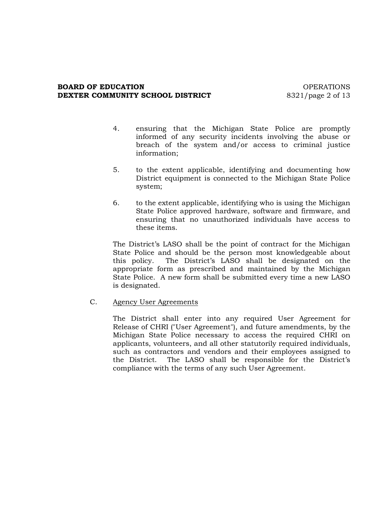## **BOARD OF EDUCATION CONSUMING A REGISTER OF EXAMPLE ASSESSED ASSOCIATE** OPERATIONS **DEXTER COMMUNITY SCHOOL DISTRICT** 8321/page 2 of 13

- 4. ensuring that the Michigan State Police are promptly informed of any security incidents involving the abuse or breach of the system and/or access to criminal justice information;
- 5. to the extent applicable, identifying and documenting how District equipment is connected to the Michigan State Police system;
- 6. to the extent applicable, identifying who is using the Michigan State Police approved hardware, software and firmware, and ensuring that no unauthorized individuals have access to these items.

The District's LASO shall be the point of contract for the Michigan State Police and should be the person most knowledgeable about this policy. The District's LASO shall be designated on the appropriate form as prescribed and maintained by the Michigan State Police. A new form shall be submitted every time a new LASO is designated.

C. Agency User Agreements

The District shall enter into any required User Agreement for Release of CHRI ("User Agreement"), and future amendments, by the Michigan State Police necessary to access the required CHRI on applicants, volunteers, and all other statutorily required individuals, such as contractors and vendors and their employees assigned to the District. The LASO shall be responsible for the District's compliance with the terms of any such User Agreement.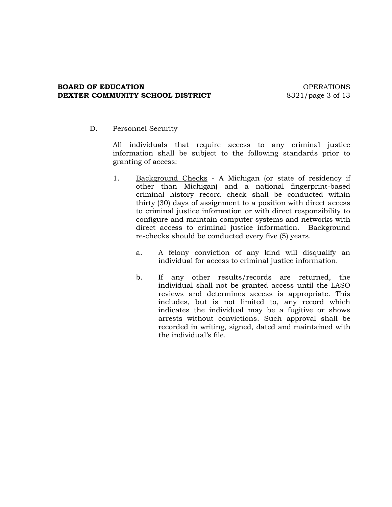## **BOARD OF EDUCATION CONSUMING A REAL PROPERATIONS DEXTER COMMUNITY SCHOOL DISTRICT** 8321/page 3 of 13

## D. Personnel Security

All individuals that require access to any criminal justice information shall be subject to the following standards prior to granting of access:

- 1. Background Checks A Michigan (or state of residency if other than Michigan) and a national fingerprint-based criminal history record check shall be conducted within thirty (30) days of assignment to a position with direct access to criminal justice information or with direct responsibility to configure and maintain computer systems and networks with direct access to criminal justice information. Background re-checks should be conducted every five (5) years.
	- a. A felony conviction of any kind will disqualify an individual for access to criminal justice information.
	- b. If any other results/records are returned, the individual shall not be granted access until the LASO reviews and determines access is appropriate. This includes, but is not limited to, any record which indicates the individual may be a fugitive or shows arrests without convictions. Such approval shall be recorded in writing, signed, dated and maintained with the individual's file.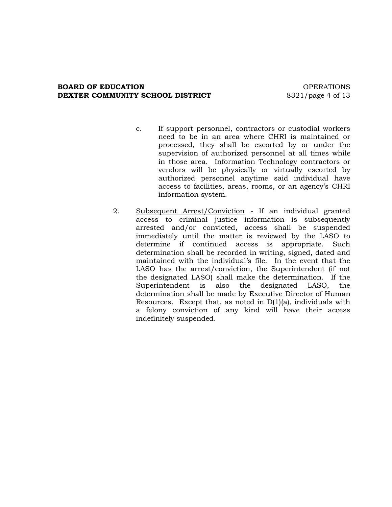#### **BOARD OF EDUCATION CONSUMING A REGISTER OF EXAMPLE ASSESSED ASSOCIATE** OPERATIONS **DEXTER COMMUNITY SCHOOL DISTRICT** 8321/page 4 of 13

- c. If support personnel, contractors or custodial workers need to be in an area where CHRI is maintained or processed, they shall be escorted by or under the supervision of authorized personnel at all times while in those area. Information Technology contractors or vendors will be physically or virtually escorted by authorized personnel anytime said individual have access to facilities, areas, rooms, or an agency's CHRI information system.
- 2. Subsequent Arrest/Conviction If an individual granted access to criminal justice information is subsequently arrested and/or convicted, access shall be suspended immediately until the matter is reviewed by the LASO to determine if continued access is appropriate. Such determination shall be recorded in writing, signed, dated and maintained with the individual's file. In the event that the LASO has the arrest/conviction, the Superintendent (if not the designated LASO) shall make the determination. If the Superintendent is also the designated LASO, the determination shall be made by Executive Director of Human Resources. Except that, as noted in  $D(1)(a)$ , individuals with a felony conviction of any kind will have their access indefinitely suspended.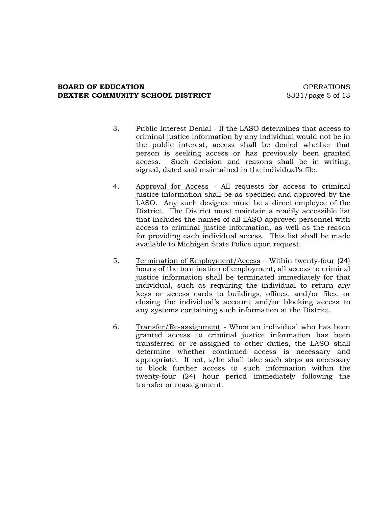## **BOARD OF EDUCATION CONSUMING A REGISTER OF EXAMPLE ASSESSED ASSOCIATE** OPERATIONS **DEXTER COMMUNITY SCHOOL DISTRICT** 8321/page 5 of 13

- 3. Public Interest Denial If the LASO determines that access to criminal justice information by any individual would not be in the public interest, access shall be denied whether that person is seeking access or has previously been granted access. Such decision and reasons shall be in writing, signed, dated and maintained in the individual's file.
- 4. Approval for Access All requests for access to criminal justice information shall be as specified and approved by the LASO. Any such designee must be a direct employee of the District. The District must maintain a readily accessible list that includes the names of all LASO approved personnel with access to criminal justice information, as well as the reason for providing each individual access. This list shall be made available to Michigan State Police upon request.
- 5. Termination of Employment/Access Within twenty-four (24) hours of the termination of employment, all access to criminal justice information shall be terminated immediately for that individual, such as requiring the individual to return any keys or access cards to buildings, offices, and/or files, or closing the individual's account and/or blocking access to any systems containing such information at the District.
- 6. Transfer/Re-assignment When an individual who has been granted access to criminal justice information has been transferred or re-assigned to other duties, the LASO shall determine whether continued access is necessary and appropriate. If not, s/he shall take such steps as necessary to block further access to such information within the twenty-four (24) hour period immediately following the transfer or reassignment.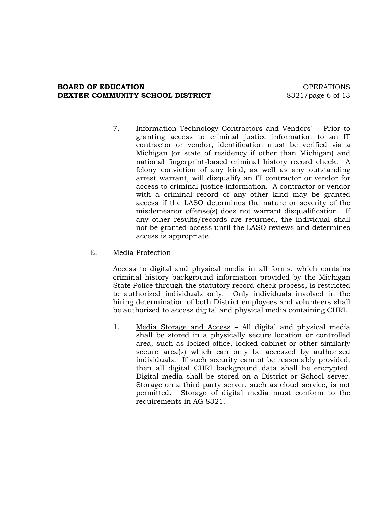## **BOARD OF EDUCATION CONSUMING A REAL PROPERATIONS DEXTER COMMUNITY SCHOOL DISTRICT** 8321/page 6 of 13

7. Information Technology Contractors and Vendors<sup>1</sup> - Prior to granting access to criminal justice information to an IT contractor or vendor, identification must be verified via a Michigan (or state of residency if other than Michigan) and national fingerprint-based criminal history record check. A felony conviction of any kind, as well as any outstanding arrest warrant, will disqualify an IT contractor or vendor for access to criminal justice information. A contractor or vendor with a criminal record of any other kind may be granted access if the LASO determines the nature or severity of the misdemeanor offense(s) does not warrant disqualification. If any other results/records are returned, the individual shall not be granted access until the LASO reviews and determines access is appropriate.

## E. Media Protection

Access to digital and physical media in all forms, which contains criminal history background information provided by the Michigan State Police through the statutory record check process, is restricted to authorized individuals only. Only individuals involved in the hiring determination of both District employees and volunteers shall be authorized to access digital and physical media containing CHRI.

1. Media Storage and Access – All digital and physical media shall be stored in a physically secure location or controlled area, such as locked office, locked cabinet or other similarly secure area(s) which can only be accessed by authorized individuals. If such security cannot be reasonably provided, then all digital CHRI background data shall be encrypted. Digital media shall be stored on a District or School server. Storage on a third party server, such as cloud service, is not permitted. Storage of digital media must conform to the requirements in AG 8321.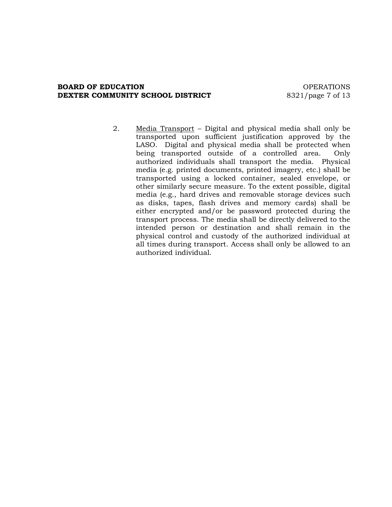#### **BOARD OF EDUCATION CONSUMING A REAL PROPERATIONS DEXTER COMMUNITY SCHOOL DISTRICT** 8321/page 7 of 13

2. Media Transport – Digital and physical media shall only be transported upon sufficient justification approved by the LASO. Digital and physical media shall be protected when being transported outside of a controlled area. Only authorized individuals shall transport the media. Physical media (e.g. printed documents, printed imagery, etc.) shall be transported using a locked container, sealed envelope, or other similarly secure measure. To the extent possible, digital media (e.g., hard drives and removable storage devices such as disks, tapes, flash drives and memory cards) shall be either encrypted and/or be password protected during the transport process. The media shall be directly delivered to the intended person or destination and shall remain in the physical control and custody of the authorized individual at all times during transport. Access shall only be allowed to an authorized individual.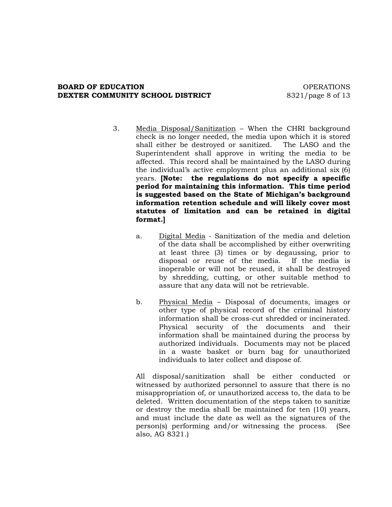## **BOARD OF EDUCATION CONSUMING A REGISTER OF EXAMPLE ASSESSED ASSOCIATE** OPERATIONS **DEXTER COMMUNITY SCHOOL DISTRICT** 8321/page 8 of 13

- 3. Media Disposal/Sanitization When the CHRI background check is no longer needed, the media upon which it is stored shall either be destroyed or sanitized. The LASO and the Superintendent shall approve in writing the media to be affected. This record shall be maintained by the LASO during the individual's active employment plus an additional six (6) years. **[Note: the regulations do not specify a specific period for maintaining this information. This time period is suggested based on the State of Michigan's background information retention schedule and will likely cover most statutes of limitation and can be retained in digital format.]**
	- a. Digital Media Sanitization of the media and deletion of the data shall be accomplished by either overwriting at least three (3) times or by degaussing, prior to disposal or reuse of the media. If the media is inoperable or will not be reused, it shall be destroyed by shredding, cutting, or other suitable method to assure that any data will not be retrievable.
	- b. Physical Media Disposal of documents, images or other type of physical record of the criminal history information shall be cross-cut shredded or incinerated. Physical security of the documents and their information shall be maintained during the process by authorized individuals. Documents may not be placed in a waste basket or burn bag for unauthorized individuals to later collect and dispose of.

All disposal/sanitization shall be either conducted or witnessed by authorized personnel to assure that there is no misappropriation of, or unauthorized access to, the data to be deleted. Written documentation of the steps taken to sanitize or destroy the media shall be maintained for ten (10) years, and must include the date as well as the signatures of the person(s) performing and/or witnessing the process. (See also, AG 8321.)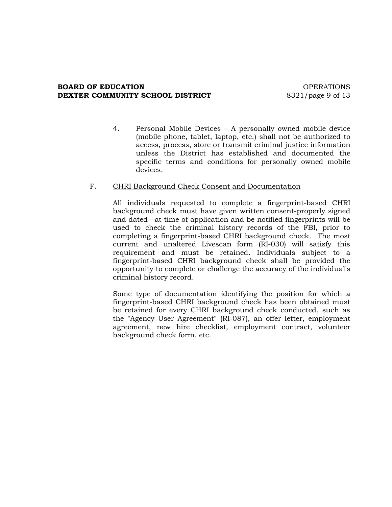## **BOARD OF EDUCATION CONSUMING A REGISTER OF EXAMPLE ASSESSED ASSOCIATE** OPERATIONS **DEXTER COMMUNITY SCHOOL DISTRICT** 8321/page 9 of 13

4. Personal Mobile Devices – A personally owned mobile device (mobile phone, tablet, laptop, etc.) shall not be authorized to access, process, store or transmit criminal justice information unless the District has established and documented the specific terms and conditions for personally owned mobile devices.

## F. CHRI Background Check Consent and Documentation

All individuals requested to complete a fingerprint-based CHRI background check must have given written consent-properly signed and dated—at time of application and be notified fingerprints will be used to check the criminal history records of the FBI, prior to completing a fingerprint-based CHRI background check. The most current and unaltered Livescan form (RI-030) will satisfy this requirement and must be retained. Individuals subject to a fingerprint-based CHRI background check shall be provided the opportunity to complete or challenge the accuracy of the individual's criminal history record.

Some type of documentation identifying the position for which a fingerprint-based CHRI background check has been obtained must be retained for every CHRI background check conducted, such as the "Agency User Agreement" (RI-087), an offer letter, employment agreement, new hire checklist, employment contract, volunteer background check form, etc.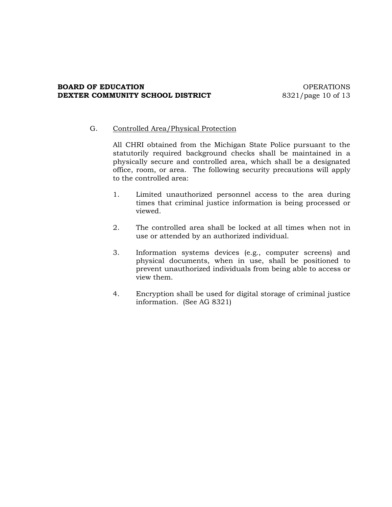## **BOARD OF EDUCATION CONSUMING A REGISTER OF EXAMPLE ASSESSED ASSOCIATE** OPERATIONS **DEXTER COMMUNITY SCHOOL DISTRICT** 8321/page 10 of 13

## G. Controlled Area/Physical Protection

All CHRI obtained from the Michigan State Police pursuant to the statutorily required background checks shall be maintained in a physically secure and controlled area, which shall be a designated office, room, or area. The following security precautions will apply to the controlled area:

- 1. Limited unauthorized personnel access to the area during times that criminal justice information is being processed or viewed.
- 2. The controlled area shall be locked at all times when not in use or attended by an authorized individual.
- 3. Information systems devices (e.g., computer screens) and physical documents, when in use, shall be positioned to prevent unauthorized individuals from being able to access or view them.
- 4. Encryption shall be used for digital storage of criminal justice information. (See AG 8321)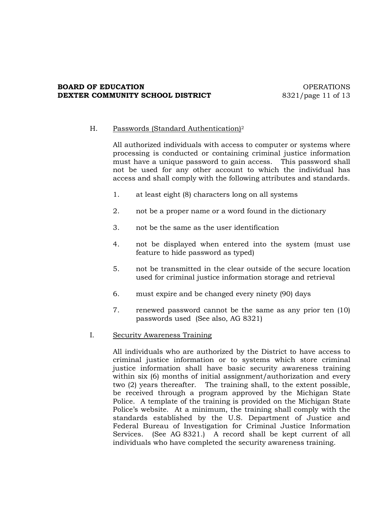## **BOARD OF EDUCATION CONSUMING A REAL PROPERATIONS DEXTER COMMUNITY SCHOOL DISTRICT** 8321/page 11 of 13

## H. Passwords (Standard Authentication)<sup>2</sup>

All authorized individuals with access to computer or systems where processing is conducted or containing criminal justice information must have a unique password to gain access. This password shall not be used for any other account to which the individual has access and shall comply with the following attributes and standards.

- 1. at least eight (8) characters long on all systems
- 2. not be a proper name or a word found in the dictionary
- 3. not be the same as the user identification
- 4. not be displayed when entered into the system (must use feature to hide password as typed)
- 5. not be transmitted in the clear outside of the secure location used for criminal justice information storage and retrieval
- 6. must expire and be changed every ninety (90) days
- 7. renewed password cannot be the same as any prior ten (10) passwords used (See also, AG 8321)

## I. Security Awareness Training

All individuals who are authorized by the District to have access to criminal justice information or to systems which store criminal justice information shall have basic security awareness training within six (6) months of initial assignment/authorization and every two (2) years thereafter. The training shall, to the extent possible, be received through a program approved by the Michigan State Police. A template of the training is provided on the Michigan State Police's website. At a minimum, the training shall comply with the standards established by the U.S. Department of Justice and Federal Bureau of Investigation for Criminal Justice Information Services. (See AG 8321.) A record shall be kept current of all individuals who have completed the security awareness training.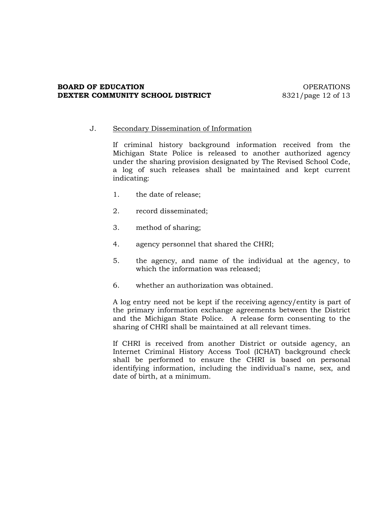#### **BOARD OF EDUCATION CONSUMING A REGISTER OF EXAMPLE ASSESSED ASSOCIATE** OPERATIONS **DEXTER COMMUNITY SCHOOL DISTRICT** 8321/page 12 of 13

## J. Secondary Dissemination of Information

If criminal history background information received from the Michigan State Police is released to another authorized agency under the sharing provision designated by The Revised School Code, a log of such releases shall be maintained and kept current indicating:

- 1. the date of release;
- 2. record disseminated;
- 3. method of sharing;
- 4. agency personnel that shared the CHRI;
- 5. the agency, and name of the individual at the agency, to which the information was released;
- 6. whether an authorization was obtained.

A log entry need not be kept if the receiving agency/entity is part of the primary information exchange agreements between the District and the Michigan State Police. A release form consenting to the sharing of CHRI shall be maintained at all relevant times.

If CHRI is received from another District or outside agency, an Internet Criminal History Access Tool (ICHAT) background check shall be performed to ensure the CHRI is based on personal identifying information, including the individual's name, sex, and date of birth, at a minimum.